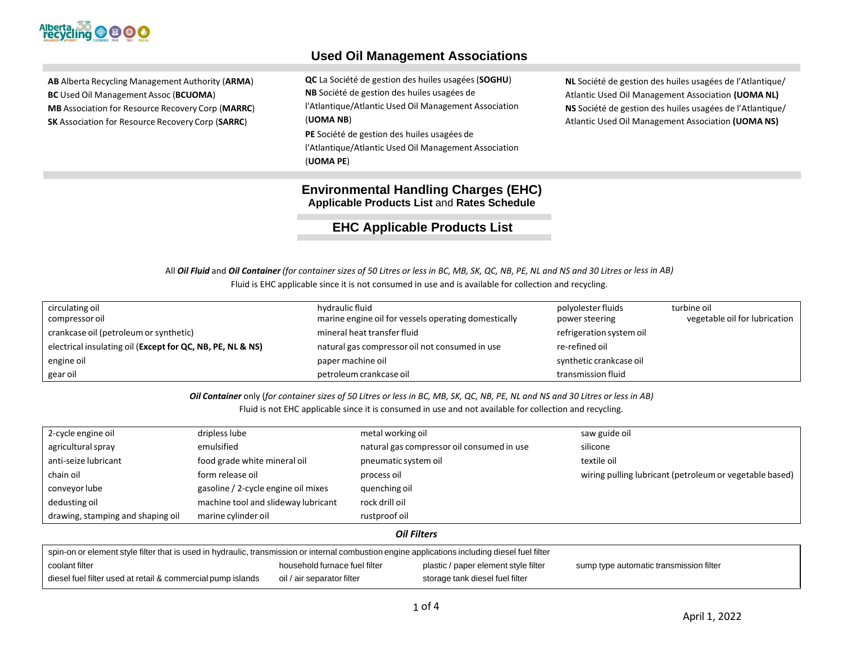

# **Used Oil Management Associations**

**AB** Alberta Recycling Management Authority (**ARMA**) **BC** Used Oil Management Assoc (**BCUOMA**) **MB** Association for Resource Recovery Corp (**MARRC**) **SK** Association for Resource Recovery Corp (**SARRC**)

**QC** La Société de gestion des huiles usagées(**SOGHU**) **NB** Société de gestion des huiles usagées de l'Atlantique/Atlantic Used Oil Management Association (**UOMA NB**) **PE** Société de gestion des huiles usagées de

l'Atlantique/Atlantic Used Oil Management Association (**UOMA PE**)

**NL** Société de gestion des huiles usagées de l'Atlantique/ Atlantic Used Oil Management Association **(UOMA NL) NS** Société de gestion des huiles usagées de l'Atlantique/ Atlantic Used Oil Management Association **(UOMA NS)**

# **Environmental Handling Charges (EHC) Applicable Products List** and **Rates Schedule**

**EHC Applicable Products List**

All Oil Fluid and Oil Container (for container sizes of 50 Litres or less in BC, MB, SK, QC, NB, PE, NL and NS and 30 Litres or less in AB) Fluid is EHC applicable since it is not consumed in use and is available for collection and recycling.

| circulating oil<br>compressor oil                          | hydraulic fluid<br>marine engine oil for vessels operating domestically | polyolester fluids<br>power steering | turbine oil<br>vegetable oil for lubrication |
|------------------------------------------------------------|-------------------------------------------------------------------------|--------------------------------------|----------------------------------------------|
| crankcase oil (petroleum or synthetic)                     | mineral heat transfer fluid                                             | refrigeration system oil             |                                              |
| electrical insulating oil (Except for QC, NB, PE, NL & NS) | natural gas compressor oil not consumed in use                          | re-refined oil                       |                                              |
| engine oil                                                 | paper machine oil                                                       | synthetic crankcase oil              |                                              |
| gear oil                                                   | petroleum crankcase oil                                                 | transmission fluid                   |                                              |

Oil Container only (for container sizes of 50 Litres or less in BC, MB, SK, QC, NB, PE, NL and NS and 30 Litres or less in AB) Fluid is not EHC applicable since it is consumed in use and not available for collection and recycling.

| 2-cycle engine oil                | dripless lube                       | metal working oil                          | saw guide oil                                           |  |
|-----------------------------------|-------------------------------------|--------------------------------------------|---------------------------------------------------------|--|
| agricultural spray                | emulsified                          | natural gas compressor oil consumed in use | silicone                                                |  |
| anti-seize lubricant              | food grade white mineral oil        | pneumatic system oil                       | textile oil                                             |  |
| chain oil                         | form release oil                    | process oil                                | wiring pulling lubricant (petroleum or vegetable based) |  |
| conveyor lube                     | gasoline / 2-cycle engine oil mixes | quenching oil                              |                                                         |  |
| dedusting oil                     | machine tool and slideway lubricant | rock drill oil                             |                                                         |  |
| drawing, stamping and shaping oil | marine cylinder oil                 | rustproof oil                              |                                                         |  |
| <b>Oil Filters</b>                |                                     |                                            |                                                         |  |

| spin-on or element style filter that is used in hydraulic, transmission or internal combustion engine applications including diesel fuel filter |                               |                                      |                                         |
|-------------------------------------------------------------------------------------------------------------------------------------------------|-------------------------------|--------------------------------------|-----------------------------------------|
| coolant filter                                                                                                                                  | household furnace fuel filter | plastic / paper element style filter | sump type automatic transmission filter |
| diesel fuel filter used at retail & commercial pump islands                                                                                     | oil / air separator filter    | storage tank diesel fuel filter      |                                         |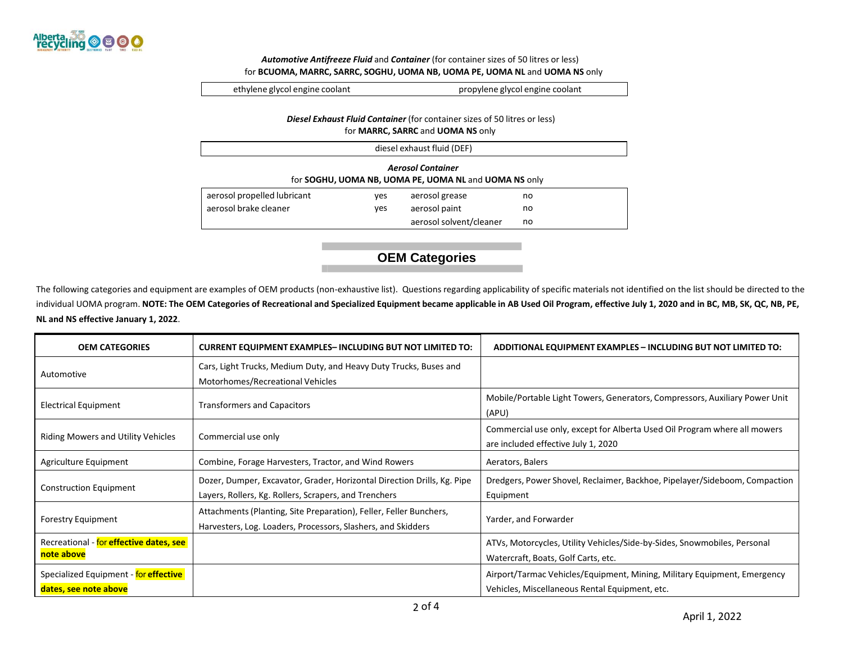

#### *Automotive Antifreeze Fluid* and *Container* (for container sizes of 50 litres or less) for **BCUOMA, MARRC, SARRC, SOGHU, UOMA NB, UOMA PE, UOMA NL** and **UOMA NS** only

ethylene glycol engine coolant propylene glycol engine coolant

### *Diesel Exhaust Fluid Container* (for container sizes of 50 litres or less) for **MARRC, SARRC** and **UOMA NS** only

| diesel exhaust fluid (DEF)                                                        |     |                         |    |
|-----------------------------------------------------------------------------------|-----|-------------------------|----|
| <b>Aerosol Container</b><br>for SOGHU, UOMA NB, UOMA PE, UOMA NL and UOMA NS only |     |                         |    |
| aerosol propelled lubricant                                                       | yes | aerosol grease          | no |
| aerosol brake cleaner                                                             | yes | aerosol paint           | no |
|                                                                                   |     | aerosol solvent/cleaner | no |

# **OEM Categories**

The following categories and equipment are examples of OEM products (non-exhaustive list). Questions regarding applicability of specific materials not identified on the list should be directed to the individual UOMA program. NOTE: The OEM Categories of Recreational and Specialized Equipment became applicable in AB Used Oil Program, effective July 1, 2020 and in BC, MB, SK, QC, NB, PE, **NL and NS effective January 1, 2022**.

| <b>OEM CATEGORIES</b>                                          | <b>CURRENT EQUIPMENT EXAMPLES-INCLUDING BUT NOT LIMITED TO:</b>                                                                    | <b>ADDITIONAL EQUIPMENT EXAMPLES - INCLUDING BUT NOT LIMITED TO:</b>                                                       |
|----------------------------------------------------------------|------------------------------------------------------------------------------------------------------------------------------------|----------------------------------------------------------------------------------------------------------------------------|
| Automotive                                                     | Cars, Light Trucks, Medium Duty, and Heavy Duty Trucks, Buses and<br>Motorhomes/Recreational Vehicles                              |                                                                                                                            |
| <b>Electrical Equipment</b>                                    | <b>Transformers and Capacitors</b>                                                                                                 | Mobile/Portable Light Towers, Generators, Compressors, Auxiliary Power Unit<br>(APU)                                       |
| <b>Riding Mowers and Utility Vehicles</b>                      | Commercial use only                                                                                                                | Commercial use only, except for Alberta Used Oil Program where all mowers<br>are included effective July 1, 2020           |
| Agriculture Equipment                                          | Combine, Forage Harvesters, Tractor, and Wind Rowers                                                                               | Aerators, Balers                                                                                                           |
| <b>Construction Equipment</b>                                  | Dozer, Dumper, Excavator, Grader, Horizontal Direction Drills, Kg. Pipe<br>Layers, Rollers, Kg. Rollers, Scrapers, and Trenchers   | Dredgers, Power Shovel, Reclaimer, Backhoe, Pipelayer/Sideboom, Compaction<br>Equipment                                    |
| <b>Forestry Equipment</b>                                      | Attachments (Planting, Site Preparation), Feller, Feller Bunchers,<br>Harvesters, Log. Loaders, Processors, Slashers, and Skidders | Yarder, and Forwarder                                                                                                      |
| Recreational - for effective dates, see<br>note above          |                                                                                                                                    | ATVs, Motorcycles, Utility Vehicles/Side-by-Sides, Snowmobiles, Personal<br>Watercraft, Boats, Golf Carts, etc.            |
| Specialized Equipment - for effective<br>dates, see note above |                                                                                                                                    | Airport/Tarmac Vehicles/Equipment, Mining, Military Equipment, Emergency<br>Vehicles, Miscellaneous Rental Equipment, etc. |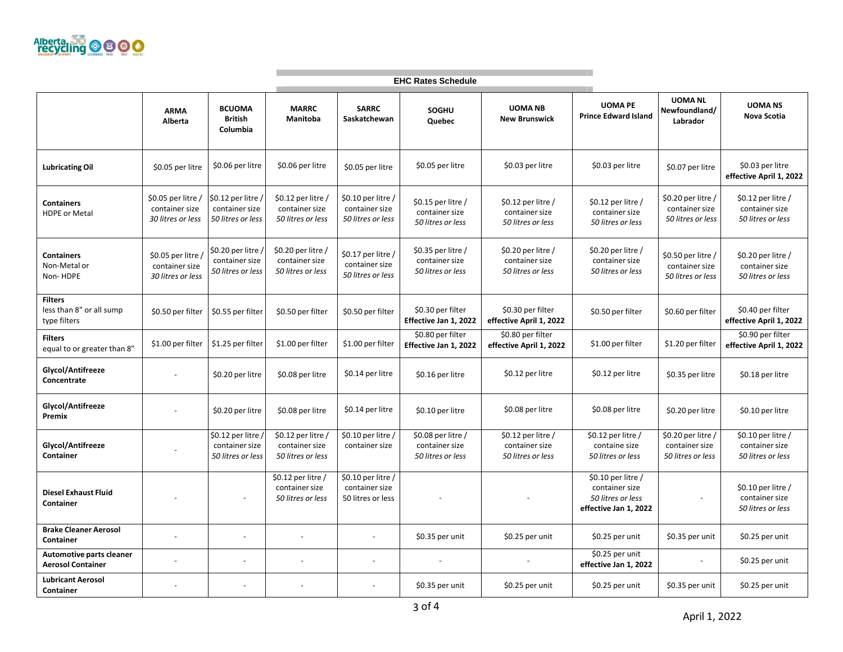

| <b>EHC Rates Schedule</b>                                  |                                                           |                                                           |                                                           |                                                           |                                                           |                                                           |                                                                                     |                                                                       |                                                           |
|------------------------------------------------------------|-----------------------------------------------------------|-----------------------------------------------------------|-----------------------------------------------------------|-----------------------------------------------------------|-----------------------------------------------------------|-----------------------------------------------------------|-------------------------------------------------------------------------------------|-----------------------------------------------------------------------|-----------------------------------------------------------|
|                                                            | <b>ARMA</b><br>Alberta                                    | <b>BCUOMA</b><br><b>British</b><br>Columbia               | <b>MARRC</b><br>Manitoba                                  | <b>SARRC</b><br>Saskatchewan                              | SOGHU<br>Quebec                                           | <b>UOMA NB</b><br><b>New Brunswick</b>                    | <b>UOMA PE</b><br><b>Prince Edward Island</b>                                       | <b>UOMA NL</b><br>Newfoundland/<br>Labrador                           | <b>UOMANS</b><br>Nova Scotia                              |
| <b>Lubricating Oil</b>                                     | \$0.05 per litre                                          | \$0.06 per litre                                          | \$0.06 per litre                                          | \$0.05 per litre                                          | \$0.05 per litre                                          | \$0.03 per litre                                          | \$0.03 per litre                                                                    | \$0.07 per litre                                                      | \$0.03 per litre<br>effective April 1, 2022               |
| <b>Containers</b><br><b>HDPE or Metal</b>                  | \$0.05 per litre /<br>container size<br>30 litres or less | \$0.12 per litre<br>container size<br>50 litres or less   | \$0.12 per litre /<br>container size<br>50 litres or less | \$0.10 per litre /<br>container size<br>50 litres or less | \$0.15 per litre /<br>container size<br>50 litres or less | \$0.12 per litre /<br>container size<br>50 litres or less | \$0.12 per litre /<br>container size<br>50 litres or less                           | \$0.20 per litre /<br>container size<br>50 litres or less             | \$0.12 per litre /<br>container size<br>50 litres or less |
| <b>Containers</b><br>Non-Metal or<br>Non-HDPE              | \$0.05 per litre /<br>container size<br>30 litres or less | , \$0.20 per litre<br>container size<br>50 litres or less | \$0.20 per litre /<br>container size<br>50 litres or less | \$0.17 per litre /<br>container size<br>50 litres or less | \$0.35 per litre /<br>container size<br>50 litres or less | \$0.20 per litre /<br>container size<br>50 litres or less | \$0.20 per litre /<br>container size<br>50 litres or less                           | \$0.50 per litre /<br>container size<br>50 litres or less             | \$0.20 per litre /<br>container size<br>50 litres or less |
| <b>Filters</b><br>less than 8" or all sump<br>type filters | \$0.50 per filter                                         | \$0.55 per filter                                         | \$0.50 per filter                                         | \$0.50 per filter                                         | \$0.30 per filter<br>Effective Jan 1, 2022                | \$0.30 per filter<br>effective April 1, 2022              | \$0.50 per filter                                                                   | \$0.60 per filter                                                     | \$0.40 per filter<br>effective April 1, 2022              |
| <b>Filters</b><br>equal to or greater than 8"              | \$1.00 per filter                                         | \$1.25 per filter                                         | \$1.00 per filter                                         | \$1.00 per filter                                         | \$0.80 per filter<br>Effective Jan 1, 2022                | \$0.80 per filter<br>effective April 1, 2022              | \$1.00 per filter                                                                   | \$1.20 per filter                                                     | \$0.90 per filter<br>effective April 1, 2022              |
| Glycol/Antifreeze<br>Concentrate                           |                                                           | \$0.20 per litre                                          | \$0.08 per litre                                          | \$0.14 per litre                                          | \$0.16 per litre                                          | \$0.12 per litre                                          | \$0.12 per litre                                                                    | \$0.35 per litre                                                      | \$0.18 per litre                                          |
| Glycol/Antifreeze<br>Premix                                |                                                           | \$0.20 per litre                                          | \$0.08 per litre                                          | \$0.14 per litre                                          | \$0.10 per litre                                          | \$0.08 per litre                                          | \$0.08 per litre                                                                    | \$0.20 per litre                                                      | \$0.10 per litre                                          |
| Glycol/Antifreeze<br>Container                             |                                                           | \$0.12 per litre<br>container size<br>50 litres or less   | \$0.12 per litre /<br>container size<br>50 litres or less | \$0.10 per litre /<br>container size                      | \$0.08 per litre /<br>container size<br>50 litres or less | \$0.12 per litre /<br>container size<br>50 litres or less | \$0.12 per litre /<br>containe size<br>50 litres or less                            | $\overline{50.20}$ per litre /<br>container size<br>50 litres or less | \$0.10 per litre /<br>container size<br>50 litres or less |
| <b>Diesel Exhaust Fluid</b><br>Container                   |                                                           | $\overline{\phantom{a}}$                                  | \$0.12 per litre /<br>container size<br>50 litres or less | \$0.10 per litre /<br>container size<br>50 litres or less |                                                           |                                                           | $$0.10$ per litre /<br>container size<br>50 litres or less<br>effective Jan 1, 2022 | $\blacksquare$                                                        | \$0.10 per litre /<br>container size<br>50 litres or less |
| <b>Brake Cleaner Aerosol</b><br>Container                  |                                                           | $\blacksquare$                                            |                                                           |                                                           | \$0.35 per unit                                           | \$0.25 per unit                                           | \$0.25 per unit                                                                     | \$0.35 per unit                                                       | \$0.25 per unit                                           |
| Automotive parts cleaner<br><b>Aerosol Container</b>       |                                                           | $\overline{\phantom{a}}$                                  | $\overline{\phantom{a}}$                                  | $\overline{\phantom{a}}$                                  |                                                           |                                                           | \$0.25 per unit<br>effective Jan 1, 2022                                            | $\overline{\phantom{a}}$                                              | \$0.25 per unit                                           |
| <b>Lubricant Aerosol</b><br>Container                      |                                                           |                                                           |                                                           |                                                           | \$0.35 per unit                                           | \$0.25 per unit                                           | \$0.25 per unit                                                                     | \$0.35 per unit                                                       | \$0.25 per unit                                           |